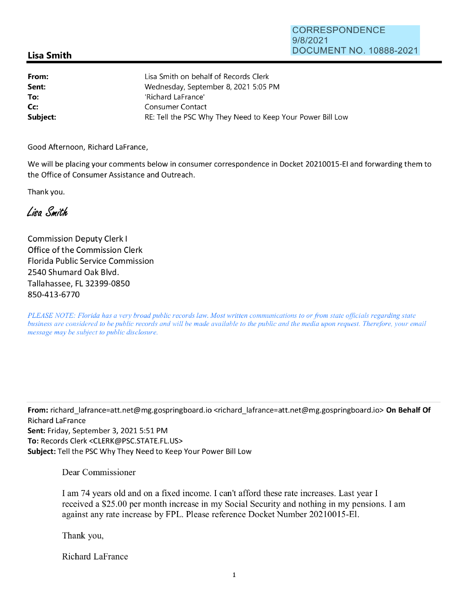## **Lisa Smith**

| From:    | Lisa Smith on behalf of Records Clerk                      |
|----------|------------------------------------------------------------|
| Sent:    | Wednesday, September 8, 2021 5:05 PM                       |
| To:      | 'Richard LaFrance'                                         |
| Cc:      | Consumer Contact                                           |
| Subject: | RE: Tell the PSC Why They Need to Keep Your Power Bill Low |

Good Afternoon, Richard LaFrance,

We will be placing your comments below in consumer correspondence in Docket 20210015-EI and forwarding them to the Office of Consumer Assistance and Outreach.

Thank you.

## Liga Smith

Commission Deputy Clerk I Office of the Commission Clerk Florida Public Service Commission 2540 Shumard Oak Blvd. Tallahassee, FL 32399-0850 850-413-6770

*PLEASE NOTE: Florida has a very broad public records law. Most written communications to or from state officials regarding state business are considered to be public records and will be made available to the public and the media upon request. Therefore, your email message may be subject to public disclosure.* 

**From:** richard\_lafrance=att.net@mg.gospringboard.io <richard\_lafrance=att.net@mg.gospringboard.io> **On Behalf Of**  Richard LaFrance **Sent:** Friday, September 3, 2021 5:51 PM **To:** Records Clerk <CLERK@PSC.STATE.FL.US> **Subject:** Tell the PSC Why They Need to Keep Your Power Bill Low

Dear Commissioner

I am 74 years old and on a fixed income. I can't afford these rate increases. Last year I received a \$25.00 per month increase in my Social Security and nothing in my pensions. I am against any rate increase by FPL. Please reference Docket Number 20210015-El.

Thank you,

Richard LaFrance